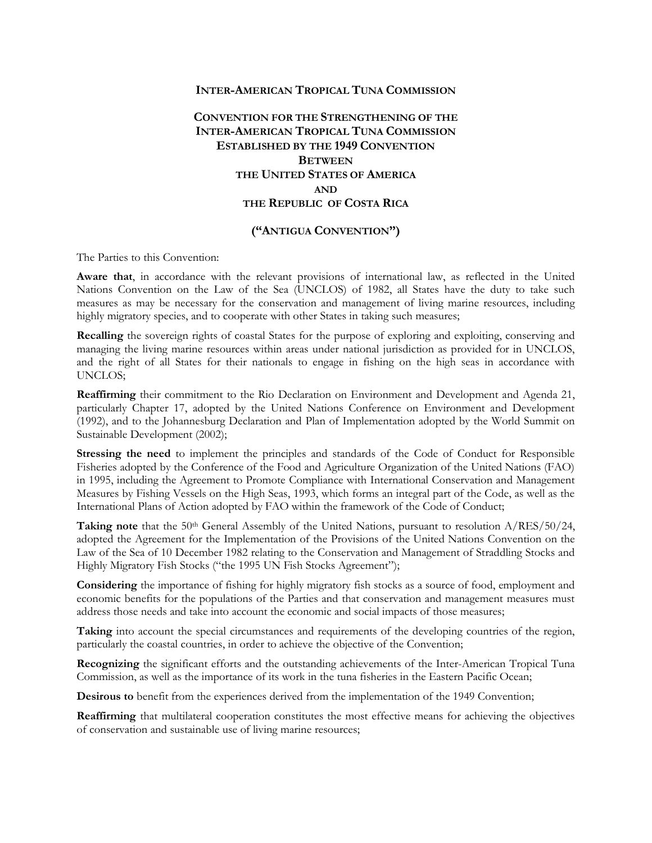### **INTER-AMERICAN TROPICAL TUNA COMMISSION**

**CONVENTION FOR THE STRENGTHENING OF THE INTER-AMERICAN TROPICAL TUNA COMMISSION ESTABLISHED BY THE 1949 CONVENTION BETWEEN THE UNITED STATES OF AMERICA AND THE REPUBLIC OF COSTA RICA**

## **("ANTIGUA CONVENTION")**

The Parties to this Convention:

**Aware that**, in accordance with the relevant provisions of international law, as reflected in the United Nations Convention on the Law of the Sea (UNCLOS) of 1982, all States have the duty to take such measures as may be necessary for the conservation and management of living marine resources, including highly migratory species, and to cooperate with other States in taking such measures;

**Recalling** the sovereign rights of coastal States for the purpose of exploring and exploiting, conserving and managing the living marine resources within areas under national jurisdiction as provided for in UNCLOS, and the right of all States for their nationals to engage in fishing on the high seas in accordance with UNCLOS;

**Reaffirming** their commitment to the Rio Declaration on Environment and Development and Agenda 21, particularly Chapter 17, adopted by the United Nations Conference on Environment and Development (1992), and to the Johannesburg Declaration and Plan of Implementation adopted by the World Summit on Sustainable Development (2002);

**Stressing the need** to implement the principles and standards of the Code of Conduct for Responsible Fisheries adopted by the Conference of the Food and Agriculture Organization of the United Nations (FAO) in 1995, including the Agreement to Promote Compliance with International Conservation and Management Measures by Fishing Vessels on the High Seas, 1993, which forms an integral part of the Code, as well as the International Plans of Action adopted by FAO within the framework of the Code of Conduct;

**Taking note** that the 50th General Assembly of the United Nations, pursuant to resolution A/RES/50/24, adopted the Agreement for the Implementation of the Provisions of the United Nations Convention on the Law of the Sea of 10 December 1982 relating to the Conservation and Management of Straddling Stocks and Highly Migratory Fish Stocks ("the 1995 UN Fish Stocks Agreement");

**Considering** the importance of fishing for highly migratory fish stocks as a source of food, employment and economic benefits for the populations of the Parties and that conservation and management measures must address those needs and take into account the economic and social impacts of those measures;

**Taking** into account the special circumstances and requirements of the developing countries of the region, particularly the coastal countries, in order to achieve the objective of the Convention;

**Recognizing** the significant efforts and the outstanding achievements of the Inter-American Tropical Tuna Commission, as well as the importance of its work in the tuna fisheries in the Eastern Pacific Ocean;

**Desirous to** benefit from the experiences derived from the implementation of the 1949 Convention;

**Reaffirming** that multilateral cooperation constitutes the most effective means for achieving the objectives of conservation and sustainable use of living marine resources;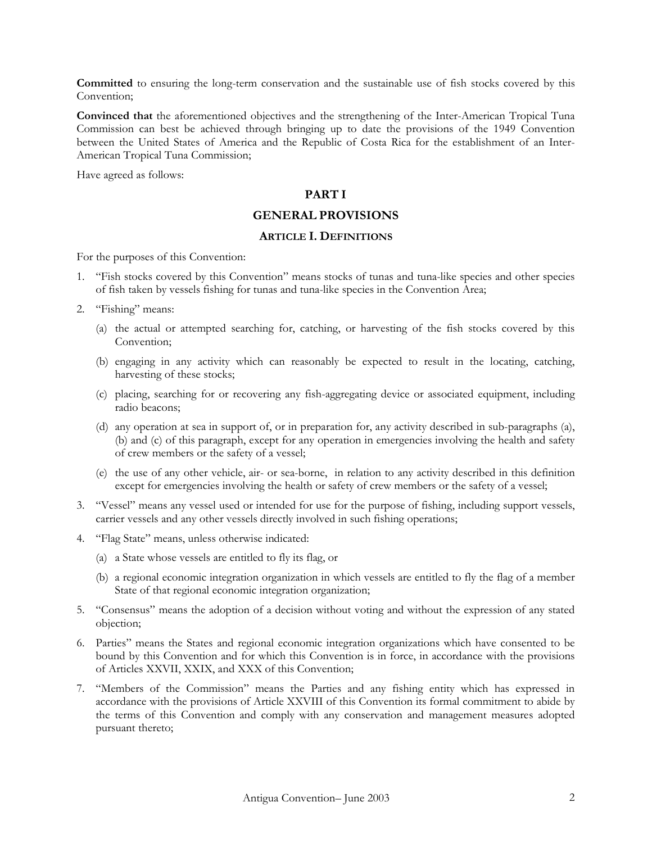**Committed** to ensuring the long-term conservation and the sustainable use of fish stocks covered by this Convention;

**Convinced that** the aforementioned objectives and the strengthening of the Inter-American Tropical Tuna Commission can best be achieved through bringing up to date the provisions of the 1949 Convention between the United States of America and the Republic of Costa Rica for the establishment of an Inter-American Tropical Tuna Commission;

Have agreed as follows:

## **PART I**

# **GENERAL PROVISIONS**

### **ARTICLE I. DEFINITIONS**

For the purposes of this Convention:

- 1. "Fish stocks covered by this Convention" means stocks of tunas and tuna-like species and other species of fish taken by vessels fishing for tunas and tuna-like species in the Convention Area;
- 2. "Fishing" means:
	- (a) the actual or attempted searching for, catching, or harvesting of the fish stocks covered by this Convention;
	- (b) engaging in any activity which can reasonably be expected to result in the locating, catching, harvesting of these stocks;
	- (c) placing, searching for or recovering any fish-aggregating device or associated equipment, including radio beacons;
	- (d) any operation at sea in support of, or in preparation for, any activity described in sub-paragraphs (a), (b) and (c) of this paragraph, except for any operation in emergencies involving the health and safety of crew members or the safety of a vessel;
	- (e) the use of any other vehicle, air- or sea-borne, in relation to any activity described in this definition except for emergencies involving the health or safety of crew members or the safety of a vessel;
- 3. "Vessel" means any vessel used or intended for use for the purpose of fishing, including support vessels, carrier vessels and any other vessels directly involved in such fishing operations;
- 4. "Flag State" means, unless otherwise indicated:
	- (a) a State whose vessels are entitled to fly its flag, or
	- (b) a regional economic integration organization in which vessels are entitled to fly the flag of a member State of that regional economic integration organization;
- 5. "Consensus" means the adoption of a decision without voting and without the expression of any stated objection;
- 6. Parties" means the States and regional economic integration organizations which have consented to be bound by this Convention and for which this Convention is in force, in accordance with the provisions of Articles XXVII, XXIX, and XXX of this Convention;
- 7. "Members of the Commission" means the Parties and any fishing entity which has expressed in accordance with the provisions of Article XXVIII of this Convention its formal commitment to abide by the terms of this Convention and comply with any conservation and management measures adopted pursuant thereto;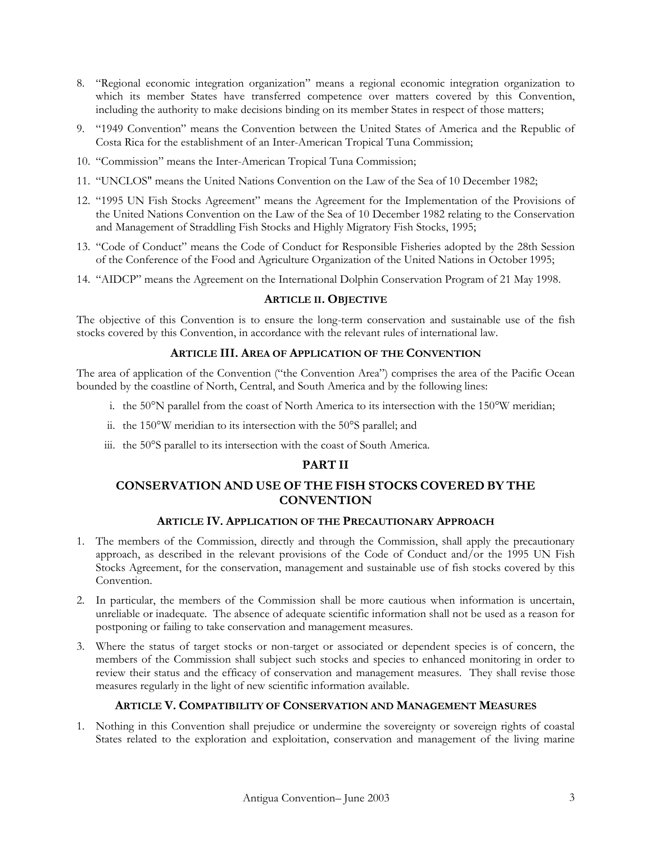- 8. "Regional economic integration organization" means a regional economic integration organization to which its member States have transferred competence over matters covered by this Convention, including the authority to make decisions binding on its member States in respect of those matters;
- 9. "1949 Convention" means the Convention between the United States of America and the Republic of Costa Rica for the establishment of an Inter-American Tropical Tuna Commission;
- 10. "Commission" means the Inter-American Tropical Tuna Commission;
- 11. "UNCLOS" means the United Nations Convention on the Law of the Sea of 10 December 1982;
- 12. "1995 UN Fish Stocks Agreement" means the Agreement for the Implementation of the Provisions of the United Nations Convention on the Law of the Sea of 10 December 1982 relating to the Conservation and Management of Straddling Fish Stocks and Highly Migratory Fish Stocks, 1995;
- 13. "Code of Conduct" means the Code of Conduct for Responsible Fisheries adopted by the 28th Session of the Conference of the Food and Agriculture Organization of the United Nations in October 1995;
- 14. "AIDCP" means the Agreement on the International Dolphin Conservation Program of 21 May 1998.

### **ARTICLE II. OBJECTIVE**

The objective of this Convention is to ensure the long-term conservation and sustainable use of the fish stocks covered by this Convention, in accordance with the relevant rules of international law.

## **ARTICLE III. AREA OF APPLICATION OF THE CONVENTION**

The area of application of the Convention ("the Convention Area") comprises the area of the Pacific Ocean bounded by the coastline of North, Central, and South America and by the following lines:

- i. the 50°N parallel from the coast of North America to its intersection with the 150°W meridian;
- ii. the 150°W meridian to its intersection with the 50°S parallel; and
- iii. the 50°S parallel to its intersection with the coast of South America.

## **PART II**

# **CONSERVATION AND USE OF THE FISH STOCKS COVERED BY THE CONVENTION**

### **ARTICLE IV. APPLICATION OF THE PRECAUTIONARY APPROACH**

- 1. The members of the Commission, directly and through the Commission, shall apply the precautionary approach, as described in the relevant provisions of the Code of Conduct and/or the 1995 UN Fish Stocks Agreement, for the conservation, management and sustainable use of fish stocks covered by this Convention.
- 2. In particular, the members of the Commission shall be more cautious when information is uncertain, unreliable or inadequate. The absence of adequate scientific information shall not be used as a reason for postponing or failing to take conservation and management measures.
- 3. Where the status of target stocks or non-target or associated or dependent species is of concern, the members of the Commission shall subject such stocks and species to enhanced monitoring in order to review their status and the efficacy of conservation and management measures. They shall revise those measures regularly in the light of new scientific information available.

#### **ARTICLE V. COMPATIBILITY OF CONSERVATION AND MANAGEMENT MEASURES**

1. Nothing in this Convention shall prejudice or undermine the sovereignty or sovereign rights of coastal States related to the exploration and exploitation, conservation and management of the living marine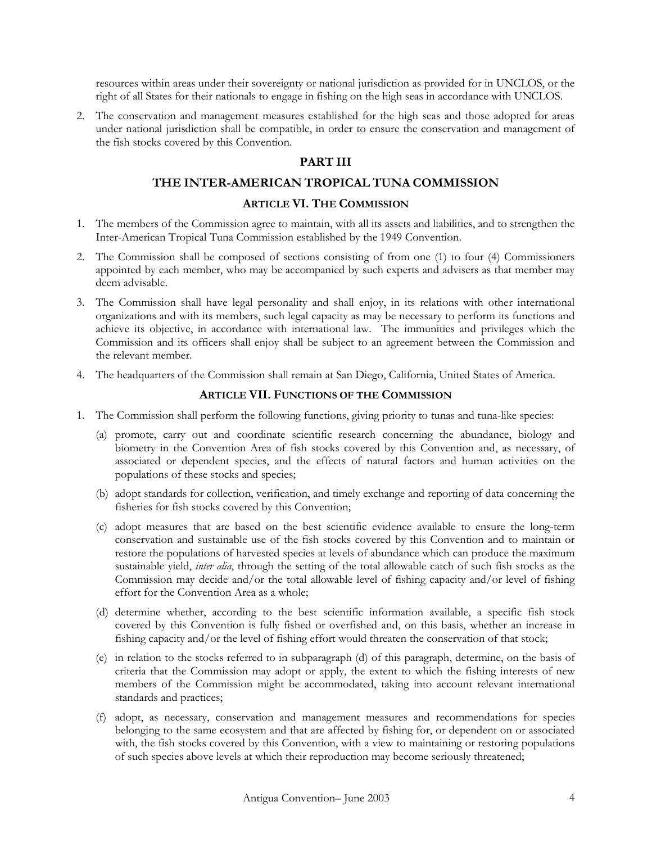resources within areas under their sovereignty or national jurisdiction as provided for in UNCLOS, or the right of all States for their nationals to engage in fishing on the high seas in accordance with UNCLOS.

2. The conservation and management measures established for the high seas and those adopted for areas under national jurisdiction shall be compatible, in order to ensure the conservation and management of the fish stocks covered by this Convention.

# **PART III**

# **THE INTER-AMERICAN TROPICAL TUNA COMMISSION**

#### **ARTICLE VI. THE COMMISSION**

- 1. The members of the Commission agree to maintain, with all its assets and liabilities, and to strengthen the Inter-American Tropical Tuna Commission established by the 1949 Convention.
- 2. The Commission shall be composed of sections consisting of from one (1) to four (4) Commissioners appointed by each member, who may be accompanied by such experts and advisers as that member may deem advisable.
- 3. The Commission shall have legal personality and shall enjoy, in its relations with other international organizations and with its members, such legal capacity as may be necessary to perform its functions and achieve its objective, in accordance with international law. The immunities and privileges which the Commission and its officers shall enjoy shall be subject to an agreement between the Commission and the relevant member.
- 4. The headquarters of the Commission shall remain at San Diego, California, United States of America.

## **ARTICLE VII. FUNCTIONS OF THE COMMISSION**

- 1. The Commission shall perform the following functions, giving priority to tunas and tuna-like species:
	- (a) promote, carry out and coordinate scientific research concerning the abundance, biology and biometry in the Convention Area of fish stocks covered by this Convention and, as necessary, of associated or dependent species, and the effects of natural factors and human activities on the populations of these stocks and species;
	- (b) adopt standards for collection, verification, and timely exchange and reporting of data concerning the fisheries for fish stocks covered by this Convention;
	- (c) adopt measures that are based on the best scientific evidence available to ensure the long-term conservation and sustainable use of the fish stocks covered by this Convention and to maintain or restore the populations of harvested species at levels of abundance which can produce the maximum sustainable yield, *inter alia*, through the setting of the total allowable catch of such fish stocks as the Commission may decide and/or the total allowable level of fishing capacity and/or level of fishing effort for the Convention Area as a whole;
	- (d) determine whether, according to the best scientific information available, a specific fish stock covered by this Convention is fully fished or overfished and, on this basis, whether an increase in fishing capacity and/or the level of fishing effort would threaten the conservation of that stock;
	- (e) in relation to the stocks referred to in subparagraph (d) of this paragraph, determine, on the basis of criteria that the Commission may adopt or apply, the extent to which the fishing interests of new members of the Commission might be accommodated, taking into account relevant international standards and practices;
	- (f) adopt, as necessary, conservation and management measures and recommendations for species belonging to the same ecosystem and that are affected by fishing for, or dependent on or associated with, the fish stocks covered by this Convention, with a view to maintaining or restoring populations of such species above levels at which their reproduction may become seriously threatened;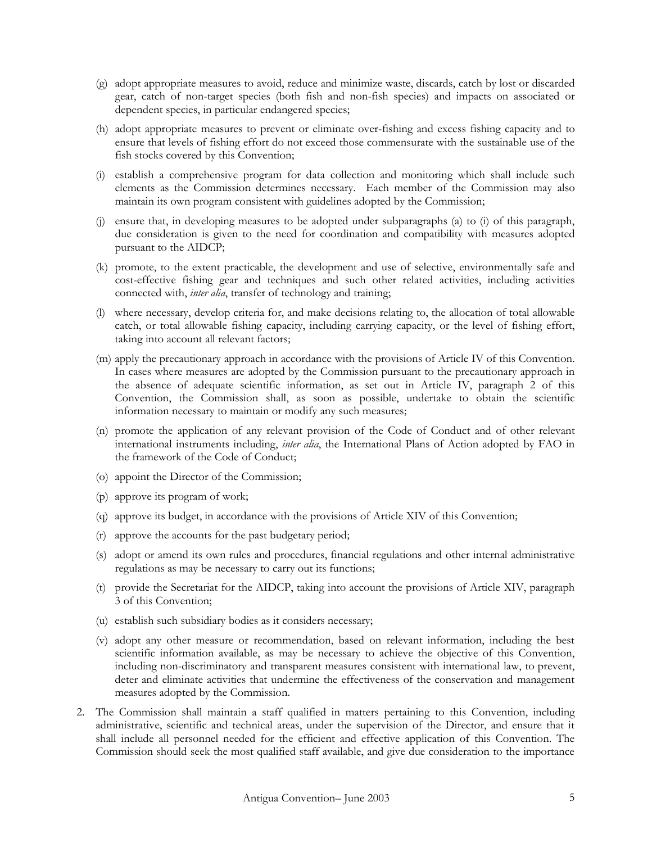- (g) adopt appropriate measures to avoid, reduce and minimize waste, discards, catch by lost or discarded gear, catch of non-target species (both fish and non-fish species) and impacts on associated or dependent species, in particular endangered species;
- (h) adopt appropriate measures to prevent or eliminate over-fishing and excess fishing capacity and to ensure that levels of fishing effort do not exceed those commensurate with the sustainable use of the fish stocks covered by this Convention;
- (i) establish a comprehensive program for data collection and monitoring which shall include such elements as the Commission determines necessary. Each member of the Commission may also maintain its own program consistent with guidelines adopted by the Commission;
- (j) ensure that, in developing measures to be adopted under subparagraphs (a) to (i) of this paragraph, due consideration is given to the need for coordination and compatibility with measures adopted pursuant to the AIDCP;
- (k) promote, to the extent practicable, the development and use of selective, environmentally safe and cost-effective fishing gear and techniques and such other related activities, including activities connected with, *inter alia*, transfer of technology and training;
- (l) where necessary, develop criteria for, and make decisions relating to, the allocation of total allowable catch, or total allowable fishing capacity, including carrying capacity, or the level of fishing effort, taking into account all relevant factors;
- (m) apply the precautionary approach in accordance with the provisions of Article IV of this Convention. In cases where measures are adopted by the Commission pursuant to the precautionary approach in the absence of adequate scientific information, as set out in Article IV, paragraph 2 of this Convention, the Commission shall, as soon as possible, undertake to obtain the scientific information necessary to maintain or modify any such measures;
- (n) promote the application of any relevant provision of the Code of Conduct and of other relevant international instruments including, *inter alia*, the International Plans of Action adopted by FAO in the framework of the Code of Conduct;
- (o) appoint the Director of the Commission;
- (p) approve its program of work;
- (q) approve its budget, in accordance with the provisions of Article XIV of this Convention;
- (r) approve the accounts for the past budgetary period;
- (s) adopt or amend its own rules and procedures, financial regulations and other internal administrative regulations as may be necessary to carry out its functions;
- (t) provide the Secretariat for the AIDCP, taking into account the provisions of Article XIV, paragraph 3 of this Convention;
- (u) establish such subsidiary bodies as it considers necessary;
- (v) adopt any other measure or recommendation, based on relevant information, including the best scientific information available, as may be necessary to achieve the objective of this Convention, including non-discriminatory and transparent measures consistent with international law, to prevent, deter and eliminate activities that undermine the effectiveness of the conservation and management measures adopted by the Commission.
- 2. The Commission shall maintain a staff qualified in matters pertaining to this Convention, including administrative, scientific and technical areas, under the supervision of the Director, and ensure that it shall include all personnel needed for the efficient and effective application of this Convention. The Commission should seek the most qualified staff available, and give due consideration to the importance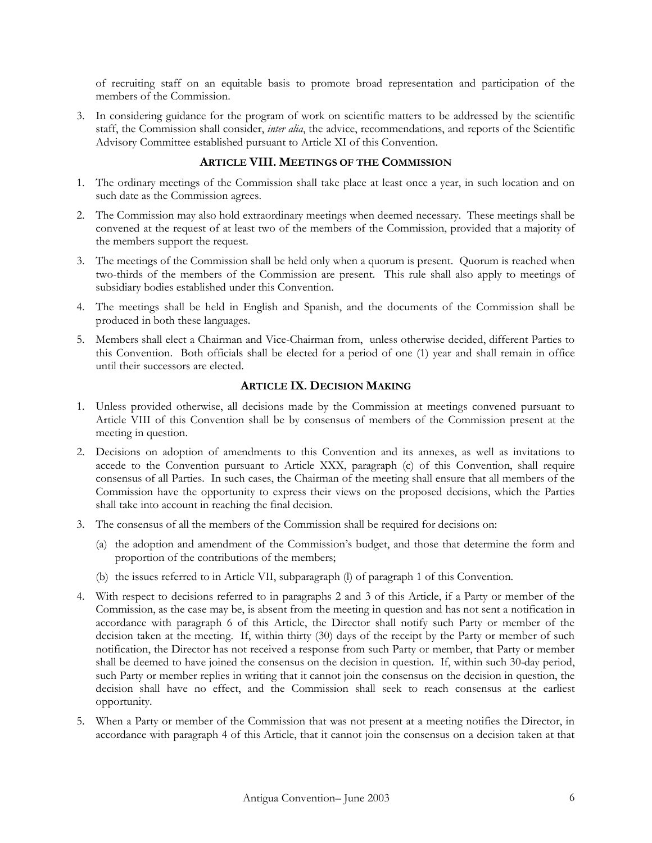of recruiting staff on an equitable basis to promote broad representation and participation of the members of the Commission.

3. In considering guidance for the program of work on scientific matters to be addressed by the scientific staff, the Commission shall consider, *inter alia*, the advice, recommendations, and reports of the Scientific Advisory Committee established pursuant to Article XI of this Convention.

## **ARTICLE VIII. MEETINGS OF THE COMMISSION**

- 1. The ordinary meetings of the Commission shall take place at least once a year, in such location and on such date as the Commission agrees.
- 2. The Commission may also hold extraordinary meetings when deemed necessary. These meetings shall be convened at the request of at least two of the members of the Commission, provided that a majority of the members support the request.
- 3. The meetings of the Commission shall be held only when a quorum is present. Quorum is reached when two-thirds of the members of the Commission are present. This rule shall also apply to meetings of subsidiary bodies established under this Convention.
- 4. The meetings shall be held in English and Spanish, and the documents of the Commission shall be produced in both these languages.
- 5. Members shall elect a Chairman and Vice-Chairman from, unless otherwise decided, different Parties to this Convention. Both officials shall be elected for a period of one (1) year and shall remain in office until their successors are elected.

# **ARTICLE IX. DECISION MAKING**

- 1. Unless provided otherwise, all decisions made by the Commission at meetings convened pursuant to Article VIII of this Convention shall be by consensus of members of the Commission present at the meeting in question.
- 2. Decisions on adoption of amendments to this Convention and its annexes, as well as invitations to accede to the Convention pursuant to Article XXX, paragraph (c) of this Convention, shall require consensus of all Parties. In such cases, the Chairman of the meeting shall ensure that all members of the Commission have the opportunity to express their views on the proposed decisions, which the Parties shall take into account in reaching the final decision.
- 3. The consensus of all the members of the Commission shall be required for decisions on:
	- (a) the adoption and amendment of the Commission's budget, and those that determine the form and proportion of the contributions of the members;
	- (b) the issues referred to in Article VII, subparagraph (l) of paragraph 1 of this Convention.
- 4. With respect to decisions referred to in paragraphs 2 and 3 of this Article, if a Party or member of the Commission, as the case may be, is absent from the meeting in question and has not sent a notification in accordance with paragraph 6 of this Article, the Director shall notify such Party or member of the decision taken at the meeting. If, within thirty (30) days of the receipt by the Party or member of such notification, the Director has not received a response from such Party or member, that Party or member shall be deemed to have joined the consensus on the decision in question. If, within such 30-day period, such Party or member replies in writing that it cannot join the consensus on the decision in question, the decision shall have no effect, and the Commission shall seek to reach consensus at the earliest opportunity.
- 5. When a Party or member of the Commission that was not present at a meeting notifies the Director, in accordance with paragraph 4 of this Article, that it cannot join the consensus on a decision taken at that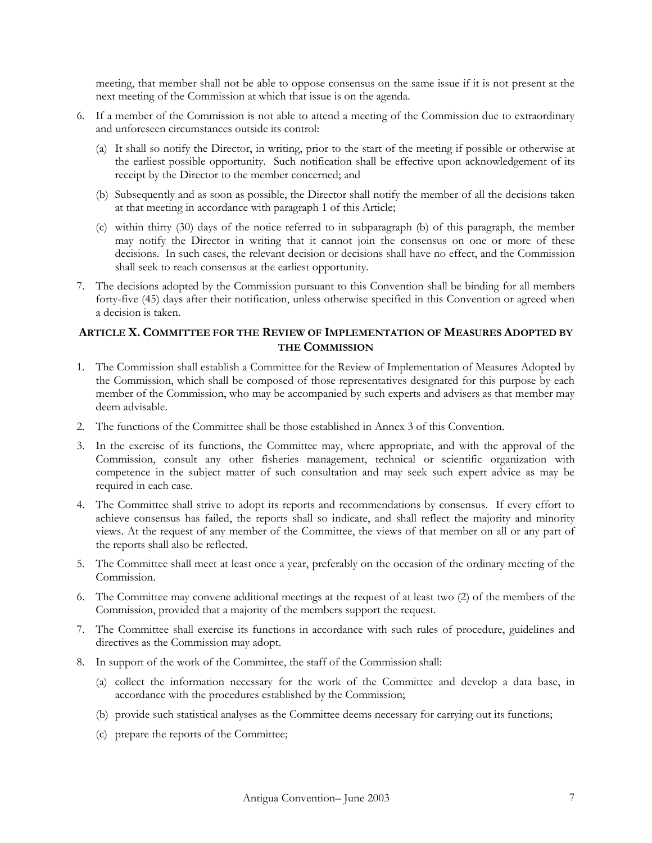meeting, that member shall not be able to oppose consensus on the same issue if it is not present at the next meeting of the Commission at which that issue is on the agenda.

- 6. If a member of the Commission is not able to attend a meeting of the Commission due to extraordinary and unforeseen circumstances outside its control:
	- (a) It shall so notify the Director, in writing, prior to the start of the meeting if possible or otherwise at the earliest possible opportunity. Such notification shall be effective upon acknowledgement of its receipt by the Director to the member concerned; and
	- (b) Subsequently and as soon as possible, the Director shall notify the member of all the decisions taken at that meeting in accordance with paragraph 1 of this Article;
	- (c) within thirty (30) days of the notice referred to in subparagraph (b) of this paragraph, the member may notify the Director in writing that it cannot join the consensus on one or more of these decisions. In such cases, the relevant decision or decisions shall have no effect, and the Commission shall seek to reach consensus at the earliest opportunity.
- 7. The decisions adopted by the Commission pursuant to this Convention shall be binding for all members forty-five (45) days after their notification, unless otherwise specified in this Convention or agreed when a decision is taken.

## **ARTICLE X. COMMITTEE FOR THE REVIEW OF IMPLEMENTATION OF MEASURES ADOPTED BY THE COMMISSION**

- 1. The Commission shall establish a Committee for the Review of Implementation of Measures Adopted by the Commission, which shall be composed of those representatives designated for this purpose by each member of the Commission, who may be accompanied by such experts and advisers as that member may deem advisable.
- 2. The functions of the Committee shall be those established in Annex 3 of this Convention.
- 3. In the exercise of its functions, the Committee may, where appropriate, and with the approval of the Commission, consult any other fisheries management, technical or scientific organization with competence in the subject matter of such consultation and may seek such expert advice as may be required in each case.
- 4. The Committee shall strive to adopt its reports and recommendations by consensus. If every effort to achieve consensus has failed, the reports shall so indicate, and shall reflect the majority and minority views. At the request of any member of the Committee, the views of that member on all or any part of the reports shall also be reflected.
- 5. The Committee shall meet at least once a year, preferably on the occasion of the ordinary meeting of the Commission.
- 6. The Committee may convene additional meetings at the request of at least two (2) of the members of the Commission, provided that a majority of the members support the request.
- 7. The Committee shall exercise its functions in accordance with such rules of procedure, guidelines and directives as the Commission may adopt.
- 8. In support of the work of the Committee, the staff of the Commission shall:
	- (a) collect the information necessary for the work of the Committee and develop a data base, in accordance with the procedures established by the Commission;
	- (b) provide such statistical analyses as the Committee deems necessary for carrying out its functions;
	- (c) prepare the reports of the Committee;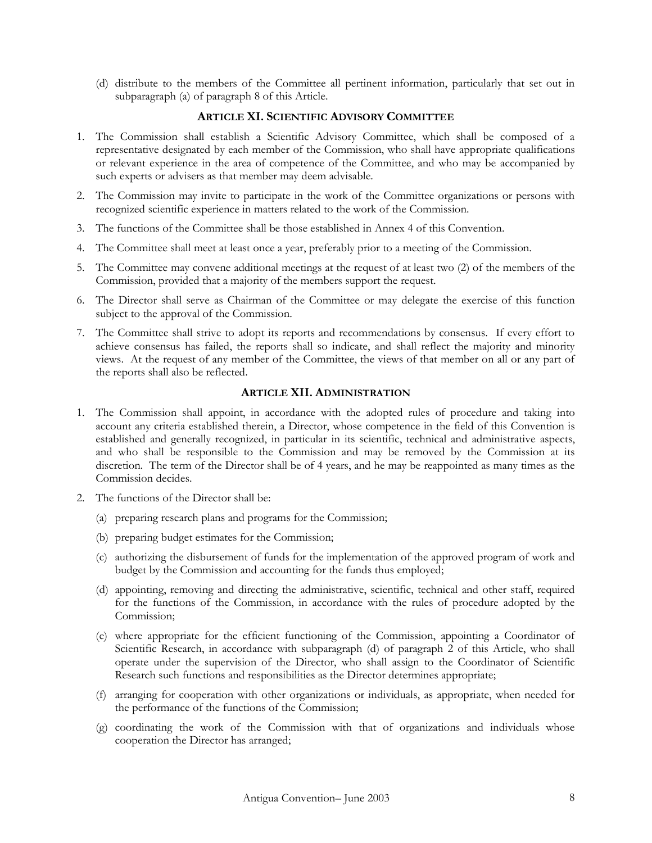(d) distribute to the members of the Committee all pertinent information, particularly that set out in subparagraph (a) of paragraph 8 of this Article.

## **ARTICLE XI. SCIENTIFIC ADVISORY COMMITTEE**

- 1. The Commission shall establish a Scientific Advisory Committee, which shall be composed of a representative designated by each member of the Commission, who shall have appropriate qualifications or relevant experience in the area of competence of the Committee, and who may be accompanied by such experts or advisers as that member may deem advisable.
- 2. The Commission may invite to participate in the work of the Committee organizations or persons with recognized scientific experience in matters related to the work of the Commission.
- 3. The functions of the Committee shall be those established in Annex 4 of this Convention.
- 4. The Committee shall meet at least once a year, preferably prior to a meeting of the Commission.
- 5. The Committee may convene additional meetings at the request of at least two (2) of the members of the Commission, provided that a majority of the members support the request.
- 6. The Director shall serve as Chairman of the Committee or may delegate the exercise of this function subject to the approval of the Commission.
- 7. The Committee shall strive to adopt its reports and recommendations by consensus. If every effort to achieve consensus has failed, the reports shall so indicate, and shall reflect the majority and minority views. At the request of any member of the Committee, the views of that member on all or any part of the reports shall also be reflected.

#### **ARTICLE XII. ADMINISTRATION**

- 1. The Commission shall appoint, in accordance with the adopted rules of procedure and taking into account any criteria established therein, a Director, whose competence in the field of this Convention is established and generally recognized, in particular in its scientific, technical and administrative aspects, and who shall be responsible to the Commission and may be removed by the Commission at its discretion. The term of the Director shall be of 4 years, and he may be reappointed as many times as the Commission decides.
- 2. The functions of the Director shall be:
	- (a) preparing research plans and programs for the Commission;
	- (b) preparing budget estimates for the Commission;
	- (c) authorizing the disbursement of funds for the implementation of the approved program of work and budget by the Commission and accounting for the funds thus employed;
	- (d) appointing, removing and directing the administrative, scientific, technical and other staff, required for the functions of the Commission, in accordance with the rules of procedure adopted by the Commission;
	- (e) where appropriate for the efficient functioning of the Commission, appointing a Coordinator of Scientific Research, in accordance with subparagraph (d) of paragraph 2 of this Article, who shall operate under the supervision of the Director, who shall assign to the Coordinator of Scientific Research such functions and responsibilities as the Director determines appropriate;
	- (f) arranging for cooperation with other organizations or individuals, as appropriate, when needed for the performance of the functions of the Commission;
	- (g) coordinating the work of the Commission with that of organizations and individuals whose cooperation the Director has arranged;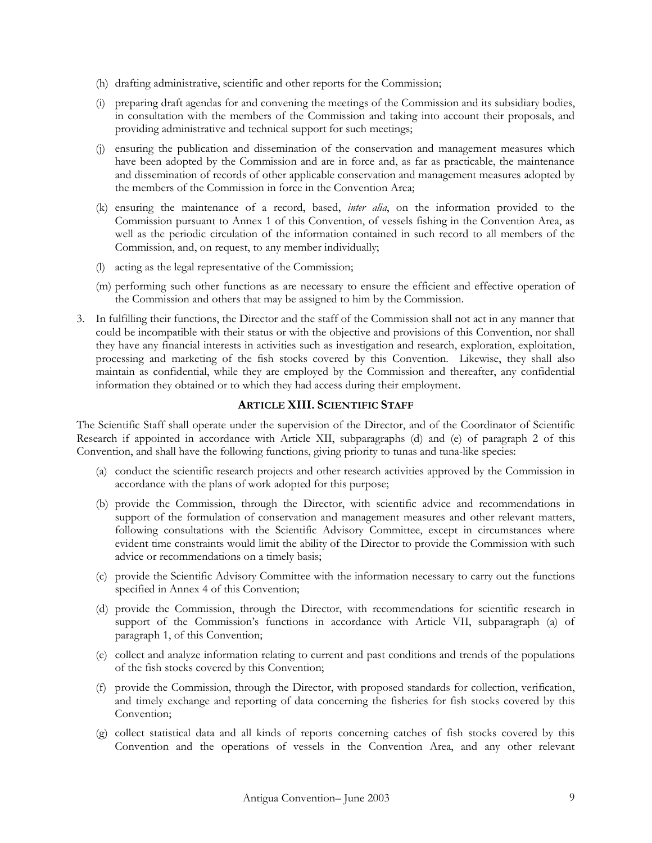- (h) drafting administrative, scientific and other reports for the Commission;
- (i) preparing draft agendas for and convening the meetings of the Commission and its subsidiary bodies, in consultation with the members of the Commission and taking into account their proposals, and providing administrative and technical support for such meetings;
- (j) ensuring the publication and dissemination of the conservation and management measures which have been adopted by the Commission and are in force and, as far as practicable, the maintenance and dissemination of records of other applicable conservation and management measures adopted by the members of the Commission in force in the Convention Area;
- (k) ensuring the maintenance of a record, based, *inter alia*, on the information provided to the Commission pursuant to Annex 1 of this Convention, of vessels fishing in the Convention Area, as well as the periodic circulation of the information contained in such record to all members of the Commission, and, on request, to any member individually;
- (l) acting as the legal representative of the Commission;
- (m) performing such other functions as are necessary to ensure the efficient and effective operation of the Commission and others that may be assigned to him by the Commission.
- 3. In fulfilling their functions, the Director and the staff of the Commission shall not act in any manner that could be incompatible with their status or with the objective and provisions of this Convention, nor shall they have any financial interests in activities such as investigation and research, exploration, exploitation, processing and marketing of the fish stocks covered by this Convention. Likewise, they shall also maintain as confidential, while they are employed by the Commission and thereafter, any confidential information they obtained or to which they had access during their employment.

## **ARTICLE XIII. SCIENTIFIC STAFF**

The Scientific Staff shall operate under the supervision of the Director, and of the Coordinator of Scientific Research if appointed in accordance with Article XII, subparagraphs (d) and (e) of paragraph 2 of this Convention, and shall have the following functions, giving priority to tunas and tuna-like species:

- (a) conduct the scientific research projects and other research activities approved by the Commission in accordance with the plans of work adopted for this purpose;
- (b) provide the Commission, through the Director, with scientific advice and recommendations in support of the formulation of conservation and management measures and other relevant matters, following consultations with the Scientific Advisory Committee, except in circumstances where evident time constraints would limit the ability of the Director to provide the Commission with such advice or recommendations on a timely basis;
- (c) provide the Scientific Advisory Committee with the information necessary to carry out the functions specified in Annex 4 of this Convention;
- (d) provide the Commission, through the Director, with recommendations for scientific research in support of the Commission's functions in accordance with Article VII, subparagraph (a) of paragraph 1, of this Convention;
- (e) collect and analyze information relating to current and past conditions and trends of the populations of the fish stocks covered by this Convention;
- (f) provide the Commission, through the Director, with proposed standards for collection, verification, and timely exchange and reporting of data concerning the fisheries for fish stocks covered by this Convention;
- (g) collect statistical data and all kinds of reports concerning catches of fish stocks covered by this Convention and the operations of vessels in the Convention Area, and any other relevant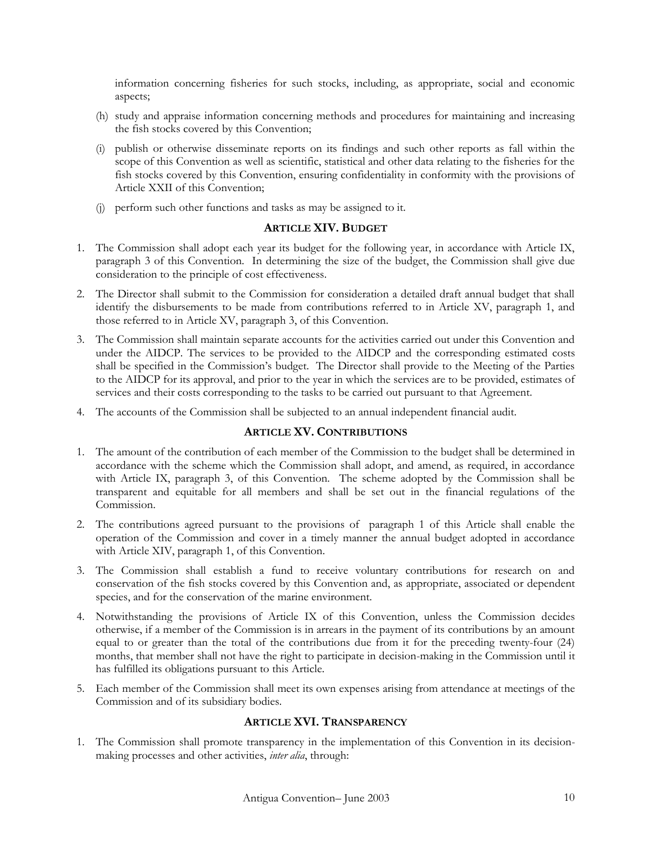information concerning fisheries for such stocks, including, as appropriate, social and economic aspects;

- (h) study and appraise information concerning methods and procedures for maintaining and increasing the fish stocks covered by this Convention;
- (i) publish or otherwise disseminate reports on its findings and such other reports as fall within the scope of this Convention as well as scientific, statistical and other data relating to the fisheries for the fish stocks covered by this Convention, ensuring confidentiality in conformity with the provisions of Article XXII of this Convention;
- (j) perform such other functions and tasks as may be assigned to it.

## **ARTICLE XIV. BUDGET**

- 1. The Commission shall adopt each year its budget for the following year, in accordance with Article IX, paragraph 3 of this Convention. In determining the size of the budget, the Commission shall give due consideration to the principle of cost effectiveness.
- 2. The Director shall submit to the Commission for consideration a detailed draft annual budget that shall identify the disbursements to be made from contributions referred to in Article XV, paragraph 1, and those referred to in Article XV, paragraph 3, of this Convention.
- 3. The Commission shall maintain separate accounts for the activities carried out under this Convention and under the AIDCP. The services to be provided to the AIDCP and the corresponding estimated costs shall be specified in the Commission's budget. The Director shall provide to the Meeting of the Parties to the AIDCP for its approval, and prior to the year in which the services are to be provided, estimates of services and their costs corresponding to the tasks to be carried out pursuant to that Agreement.
- 4. The accounts of the Commission shall be subjected to an annual independent financial audit.

## **ARTICLE XV. CONTRIBUTIONS**

- 1. The amount of the contribution of each member of the Commission to the budget shall be determined in accordance with the scheme which the Commission shall adopt, and amend, as required, in accordance with Article IX, paragraph 3, of this Convention. The scheme adopted by the Commission shall be transparent and equitable for all members and shall be set out in the financial regulations of the Commission.
- 2. The contributions agreed pursuant to the provisions of paragraph 1 of this Article shall enable the operation of the Commission and cover in a timely manner the annual budget adopted in accordance with Article XIV, paragraph 1, of this Convention.
- 3. The Commission shall establish a fund to receive voluntary contributions for research on and conservation of the fish stocks covered by this Convention and, as appropriate, associated or dependent species, and for the conservation of the marine environment.
- 4. Notwithstanding the provisions of Article IX of this Convention, unless the Commission decides otherwise, if a member of the Commission is in arrears in the payment of its contributions by an amount equal to or greater than the total of the contributions due from it for the preceding twenty-four (24) months, that member shall not have the right to participate in decision-making in the Commission until it has fulfilled its obligations pursuant to this Article.
- 5. Each member of the Commission shall meet its own expenses arising from attendance at meetings of the Commission and of its subsidiary bodies.

#### **ARTICLE XVI. TRANSPARENCY**

1. The Commission shall promote transparency in the implementation of this Convention in its decisionmaking processes and other activities, *inter alia*, through: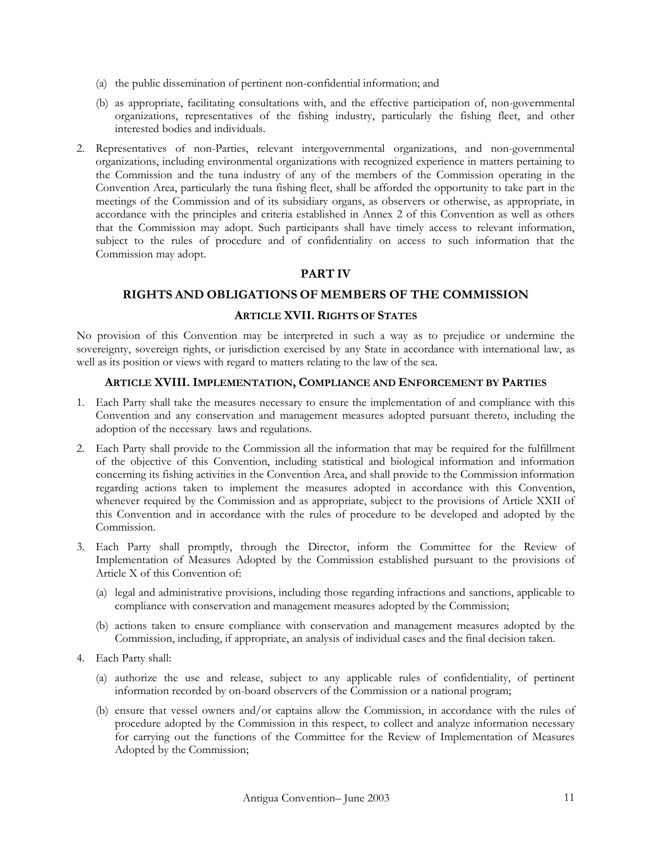- (a) the public dissemination of pertinent non-confidential information; and
- (b) as appropriate, facilitating consultations with, and the effective participation of, non-governmental organizations, representatives of the fishing industry, particularly the fishing fleet, and other interested bodies and individuals.
- 2. Representatives of non-Parties, relevant intergovernmental organizations, and non-governmental organizations, including environmental organizations with recognized experience in matters pertaining to the Commission and the tuna industry of any of the members of the Commission operating in the Convention Area, particularly the tuna fishing fleet, shall be afforded the opportunity to take part in the meetings of the Commission and of its subsidiary organs, as observers or otherwise, as appropriate, in accordance with the principles and criteria established in Annex 2 of this Convention as well as others that the Commission may adopt. Such participants shall have timely access to relevant information, subject to the rules of procedure and of confidentiality on access to such information that the Commission may adopt.

# **PART IV**

# **RIGHTS AND OBLIGATIONS OF MEMBERS OF THE COMMISSION**

# **ARTICLE XVII. RIGHTS OF STATES**

No provision of this Convention may be interpreted in such a way as to prejudice or undermine the sovereignty, sovereign rights, or jurisdiction exercised by any State in accordance with international law, as well as its position or views with regard to matters relating to the law of the sea.

#### **ARTICLE XVIII. IMPLEMENTATION, COMPLIANCE AND ENFORCEMENT BY PARTIES**

- 1. Each Party shall take the measures necessary to ensure the implementation of and compliance with this Convention and any conservation and management measures adopted pursuant thereto, including the adoption of the necessary laws and regulations.
- 2. Each Party shall provide to the Commission all the information that may be required for the fulfillment of the objective of this Convention, including statistical and biological information and information concerning its fishing activities in the Convention Area, and shall provide to the Commission information regarding actions taken to implement the measures adopted in accordance with this Convention, whenever required by the Commission and as appropriate, subject to the provisions of Article XXII of this Convention and in accordance with the rules of procedure to be developed and adopted by the Commission.
- 3. Each Party shall promptly, through the Director, inform the Committee for the Review of Implementation of Measures Adopted by the Commission established pursuant to the provisions of Article X of this Convention of:
	- (a) legal and administrative provisions, including those regarding infractions and sanctions, applicable to compliance with conservation and management measures adopted by the Commission;
	- (b) actions taken to ensure compliance with conservation and management measures adopted by the Commission, including, if appropriate, an analysis of individual cases and the final decision taken.
- 4. Each Party shall:
	- (a) authorize the use and release, subject to any applicable rules of confidentiality, of pertinent information recorded by on-board observers of the Commission or a national program;
	- (b) ensure that vessel owners and/or captains allow the Commission, in accordance with the rules of procedure adopted by the Commission in this respect, to collect and analyze information necessary for carrying out the functions of the Committee for the Review of Implementation of Measures Adopted by the Commission;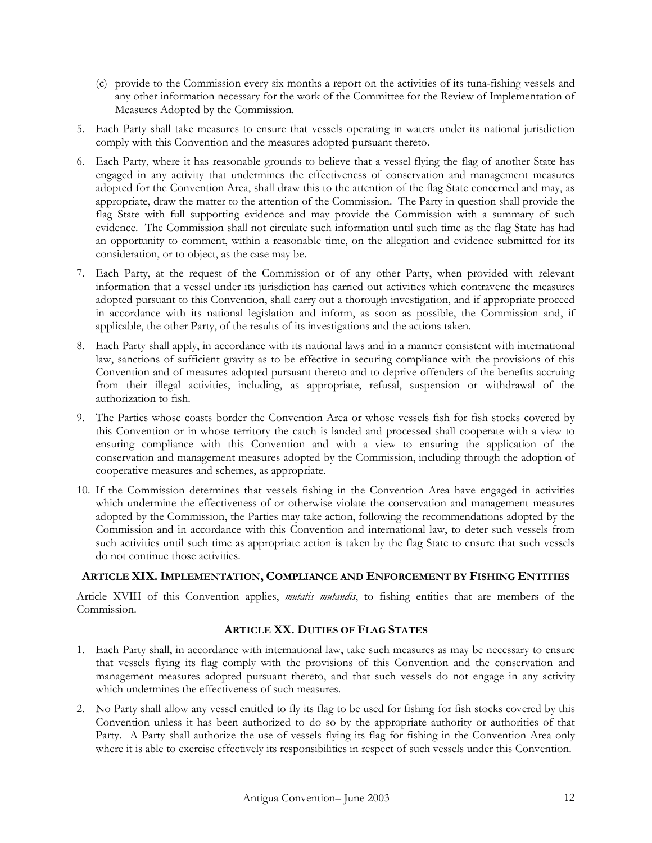- (c) provide to the Commission every six months a report on the activities of its tuna-fishing vessels and any other information necessary for the work of the Committee for the Review of Implementation of Measures Adopted by the Commission.
- 5. Each Party shall take measures to ensure that vessels operating in waters under its national jurisdiction comply with this Convention and the measures adopted pursuant thereto.
- 6. Each Party, where it has reasonable grounds to believe that a vessel flying the flag of another State has engaged in any activity that undermines the effectiveness of conservation and management measures adopted for the Convention Area, shall draw this to the attention of the flag State concerned and may, as appropriate, draw the matter to the attention of the Commission. The Party in question shall provide the flag State with full supporting evidence and may provide the Commission with a summary of such evidence. The Commission shall not circulate such information until such time as the flag State has had an opportunity to comment, within a reasonable time, on the allegation and evidence submitted for its consideration, or to object, as the case may be.
- 7. Each Party, at the request of the Commission or of any other Party, when provided with relevant information that a vessel under its jurisdiction has carried out activities which contravene the measures adopted pursuant to this Convention, shall carry out a thorough investigation, and if appropriate proceed in accordance with its national legislation and inform, as soon as possible, the Commission and, if applicable, the other Party, of the results of its investigations and the actions taken.
- 8. Each Party shall apply, in accordance with its national laws and in a manner consistent with international law, sanctions of sufficient gravity as to be effective in securing compliance with the provisions of this Convention and of measures adopted pursuant thereto and to deprive offenders of the benefits accruing from their illegal activities, including, as appropriate, refusal, suspension or withdrawal of the authorization to fish.
- 9. The Parties whose coasts border the Convention Area or whose vessels fish for fish stocks covered by this Convention or in whose territory the catch is landed and processed shall cooperate with a view to ensuring compliance with this Convention and with a view to ensuring the application of the conservation and management measures adopted by the Commission, including through the adoption of cooperative measures and schemes, as appropriate.
- 10. If the Commission determines that vessels fishing in the Convention Area have engaged in activities which undermine the effectiveness of or otherwise violate the conservation and management measures adopted by the Commission, the Parties may take action, following the recommendations adopted by the Commission and in accordance with this Convention and international law, to deter such vessels from such activities until such time as appropriate action is taken by the flag State to ensure that such vessels do not continue those activities.

## **ARTICLE XIX.IMPLEMENTATION, COMPLIANCE AND ENFORCEMENT BY FISHING ENTITIES**

Article XVIII of this Convention applies, *mutatis mutandis*, to fishing entities that are members of the Commission.

## **ARTICLE XX. DUTIES OF FLAG STATES**

- 1. Each Party shall, in accordance with international law, take such measures as may be necessary to ensure that vessels flying its flag comply with the provisions of this Convention and the conservation and management measures adopted pursuant thereto, and that such vessels do not engage in any activity which undermines the effectiveness of such measures.
- 2. No Party shall allow any vessel entitled to fly its flag to be used for fishing for fish stocks covered by this Convention unless it has been authorized to do so by the appropriate authority or authorities of that Party. A Party shall authorize the use of vessels flying its flag for fishing in the Convention Area only where it is able to exercise effectively its responsibilities in respect of such vessels under this Convention.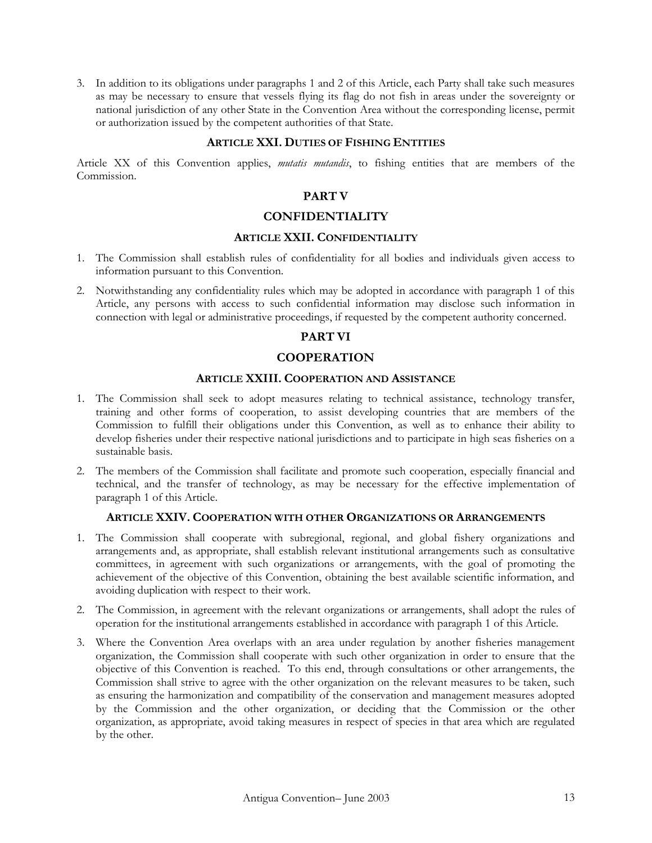3. In addition to its obligations under paragraphs 1 and 2 of this Article, each Party shall take such measures as may be necessary to ensure that vessels flying its flag do not fish in areas under the sovereignty or national jurisdiction of any other State in the Convention Area without the corresponding license, permit or authorization issued by the competent authorities of that State.

### **ARTICLE XXI. DUTIES OF FISHING ENTITIES**

Article XX of this Convention applies, *mutatis mutandis*, to fishing entities that are members of the Commission.

# **PART V**

## **CONFIDENTIALITY**

#### **ARTICLE XXII. CONFIDENTIALITY**

- 1. The Commission shall establish rules of confidentiality for all bodies and individuals given access to information pursuant to this Convention.
- 2. Notwithstanding any confidentiality rules which may be adopted in accordance with paragraph 1 of this Article, any persons with access to such confidential information may disclose such information in connection with legal or administrative proceedings, if requested by the competent authority concerned.

# **PART VI**

## **COOPERATION**

### **ARTICLE XXIII. COOPERATION AND ASSISTANCE**

- 1. The Commission shall seek to adopt measures relating to technical assistance, technology transfer, training and other forms of cooperation, to assist developing countries that are members of the Commission to fulfill their obligations under this Convention, as well as to enhance their ability to develop fisheries under their respective national jurisdictions and to participate in high seas fisheries on a sustainable basis.
- 2. The members of the Commission shall facilitate and promote such cooperation, especially financial and technical, and the transfer of technology, as may be necessary for the effective implementation of paragraph 1 of this Article.

#### **ARTICLE XXIV. COOPERATION WITH OTHER ORGANIZATIONS OR ARRANGEMENTS**

- 1. The Commission shall cooperate with subregional, regional, and global fishery organizations and arrangements and, as appropriate, shall establish relevant institutional arrangements such as consultative committees, in agreement with such organizations or arrangements, with the goal of promoting the achievement of the objective of this Convention, obtaining the best available scientific information, and avoiding duplication with respect to their work.
- 2. The Commission, in agreement with the relevant organizations or arrangements, shall adopt the rules of operation for the institutional arrangements established in accordance with paragraph 1 of this Article.
- 3. Where the Convention Area overlaps with an area under regulation by another fisheries management organization, the Commission shall cooperate with such other organization in order to ensure that the objective of this Convention is reached. To this end, through consultations or other arrangements, the Commission shall strive to agree with the other organization on the relevant measures to be taken, such as ensuring the harmonization and compatibility of the conservation and management measures adopted by the Commission and the other organization, or deciding that the Commission or the other organization, as appropriate, avoid taking measures in respect of species in that area which are regulated by the other.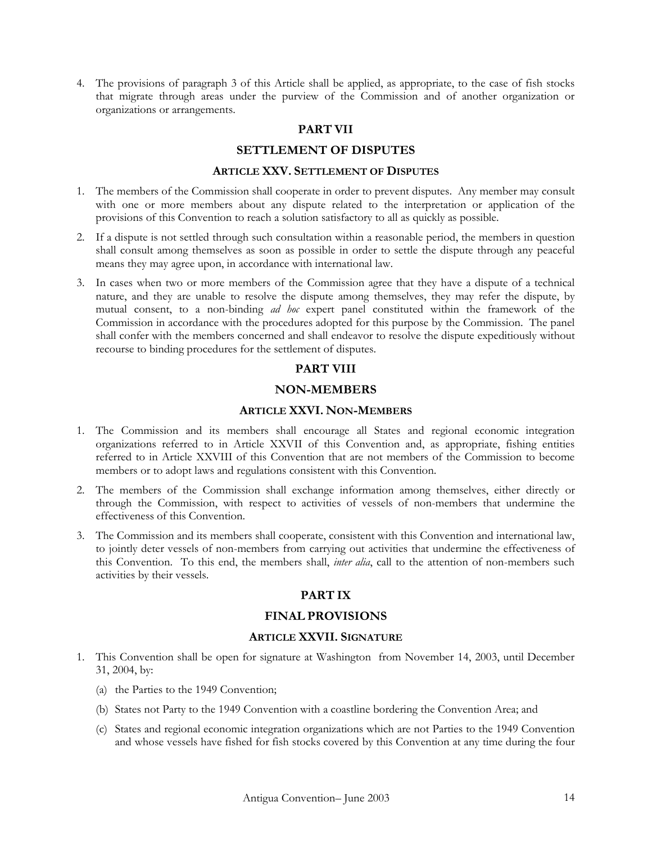4. The provisions of paragraph 3 of this Article shall be applied, as appropriate, to the case of fish stocks that migrate through areas under the purview of the Commission and of another organization or organizations or arrangements.

### **PART VII**

### **SETTLEMENT OF DISPUTES**

#### **ARTICLE XXV. SETTLEMENT OF DISPUTES**

- 1. The members of the Commission shall cooperate in order to prevent disputes. Any member may consult with one or more members about any dispute related to the interpretation or application of the provisions of this Convention to reach a solution satisfactory to all as quickly as possible.
- 2. If a dispute is not settled through such consultation within a reasonable period, the members in question shall consult among themselves as soon as possible in order to settle the dispute through any peaceful means they may agree upon, in accordance with international law.
- 3. In cases when two or more members of the Commission agree that they have a dispute of a technical nature, and they are unable to resolve the dispute among themselves, they may refer the dispute, by mutual consent, to a non-binding *ad hoc* expert panel constituted within the framework of the Commission in accordance with the procedures adopted for this purpose by the Commission. The panel shall confer with the members concerned and shall endeavor to resolve the dispute expeditiously without recourse to binding procedures for the settlement of disputes.

## **PART VIII**

# **NON-MEMBERS**

# **ARTICLE XXVI. NON-MEMBERS**

- 1. The Commission and its members shall encourage all States and regional economic integration organizations referred to in Article XXVII of this Convention and, as appropriate, fishing entities referred to in Article XXVIII of this Convention that are not members of the Commission to become members or to adopt laws and regulations consistent with this Convention.
- 2. The members of the Commission shall exchange information among themselves, either directly or through the Commission, with respect to activities of vessels of non-members that undermine the effectiveness of this Convention.
- 3. The Commission and its members shall cooperate, consistent with this Convention and international law, to jointly deter vessels of non-members from carrying out activities that undermine the effectiveness of this Convention. To this end, the members shall, *inter alia*, call to the attention of non-members such activities by their vessels.

## **PART IX**

## **FINAL PROVISIONS**

#### **ARTICLE XXVII. SIGNATURE**

- 1. This Convention shall be open for signature at Washington from November 14, 2003, until December 31, 2004, by:
	- (a) the Parties to the 1949 Convention;
	- (b) States not Party to the 1949 Convention with a coastline bordering the Convention Area; and
	- (c) States and regional economic integration organizations which are not Parties to the 1949 Convention and whose vessels have fished for fish stocks covered by this Convention at any time during the four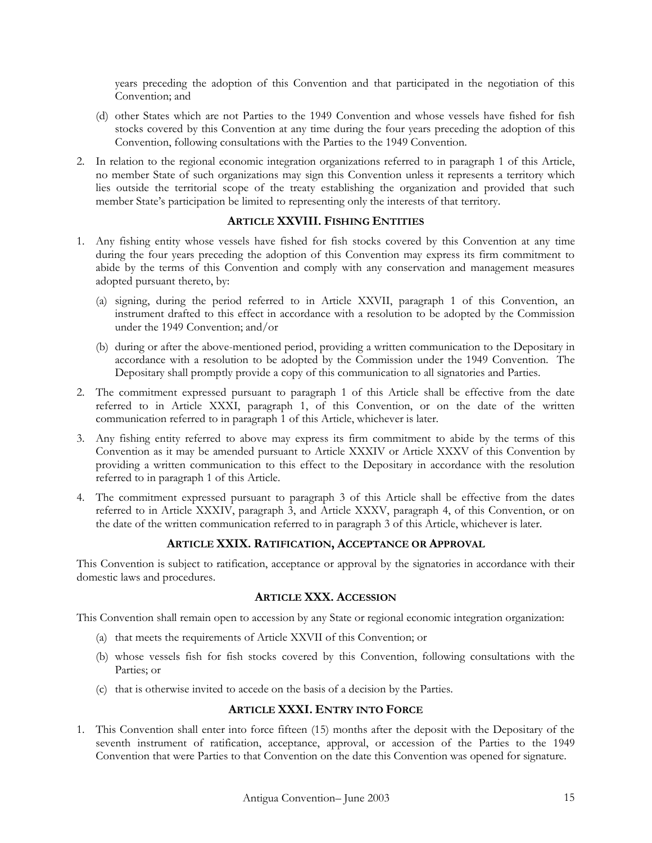years preceding the adoption of this Convention and that participated in the negotiation of this Convention; and

- (d) other States which are not Parties to the 1949 Convention and whose vessels have fished for fish stocks covered by this Convention at any time during the four years preceding the adoption of this Convention, following consultations with the Parties to the 1949 Convention.
- 2. In relation to the regional economic integration organizations referred to in paragraph 1 of this Article, no member State of such organizations may sign this Convention unless it represents a territory which lies outside the territorial scope of the treaty establishing the organization and provided that such member State's participation be limited to representing only the interests of that territory.

## **ARTICLE XXVIII. FISHING ENTITIES**

- 1. Any fishing entity whose vessels have fished for fish stocks covered by this Convention at any time during the four years preceding the adoption of this Convention may express its firm commitment to abide by the terms of this Convention and comply with any conservation and management measures adopted pursuant thereto, by:
	- (a) signing, during the period referred to in Article XXVII, paragraph 1 of this Convention, an instrument drafted to this effect in accordance with a resolution to be adopted by the Commission under the 1949 Convention; and/or
	- (b) during or after the above-mentioned period, providing a written communication to the Depositary in accordance with a resolution to be adopted by the Commission under the 1949 Convention. The Depositary shall promptly provide a copy of this communication to all signatories and Parties.
- 2. The commitment expressed pursuant to paragraph 1 of this Article shall be effective from the date referred to in Article XXXI, paragraph 1, of this Convention, or on the date of the written communication referred to in paragraph 1 of this Article, whichever is later.
- 3. Any fishing entity referred to above may express its firm commitment to abide by the terms of this Convention as it may be amended pursuant to Article XXXIV or Article XXXV of this Convention by providing a written communication to this effect to the Depositary in accordance with the resolution referred to in paragraph 1 of this Article.
- 4. The commitment expressed pursuant to paragraph 3 of this Article shall be effective from the dates referred to in Article XXXIV, paragraph 3, and Article XXXV, paragraph 4, of this Convention, or on the date of the written communication referred to in paragraph 3 of this Article, whichever is later.

# **ARTICLE XXIX. RATIFICATION, ACCEPTANCE OR APPROVAL**

This Convention is subject to ratification, acceptance or approval by the signatories in accordance with their domestic laws and procedures.

# **ARTICLE XXX. ACCESSION**

This Convention shall remain open to accession by any State or regional economic integration organization:

- (a) that meets the requirements of Article XXVII of this Convention; or
- (b) whose vessels fish for fish stocks covered by this Convention, following consultations with the Parties; or
- (c) that is otherwise invited to accede on the basis of a decision by the Parties.

## **ARTICLE XXXI. ENTRY INTO FORCE**

1. This Convention shall enter into force fifteen (15) months after the deposit with the Depositary of the seventh instrument of ratification, acceptance, approval, or accession of the Parties to the 1949 Convention that were Parties to that Convention on the date this Convention was opened for signature.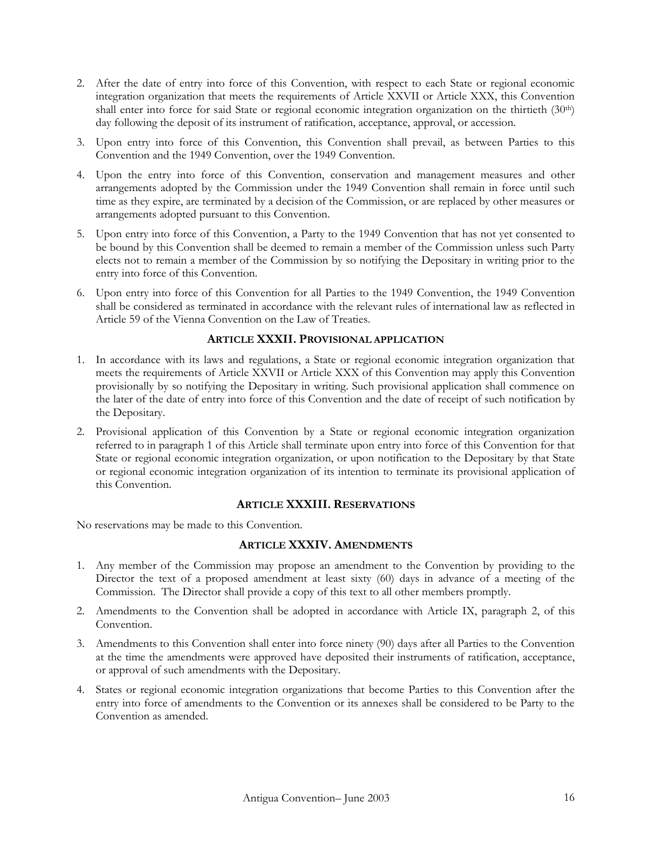- 2. After the date of entry into force of this Convention, with respect to each State or regional economic integration organization that meets the requirements of Article XXVII or Article XXX, this Convention shall enter into force for said State or regional economic integration organization on the thirtieth (30<sup>th</sup>) day following the deposit of its instrument of ratification, acceptance, approval, or accession.
- 3. Upon entry into force of this Convention, this Convention shall prevail, as between Parties to this Convention and the 1949 Convention, over the 1949 Convention.
- 4. Upon the entry into force of this Convention, conservation and management measures and other arrangements adopted by the Commission under the 1949 Convention shall remain in force until such time as they expire, are terminated by a decision of the Commission, or are replaced by other measures or arrangements adopted pursuant to this Convention.
- 5. Upon entry into force of this Convention, a Party to the 1949 Convention that has not yet consented to be bound by this Convention shall be deemed to remain a member of the Commission unless such Party elects not to remain a member of the Commission by so notifying the Depositary in writing prior to the entry into force of this Convention.
- 6. Upon entry into force of this Convention for all Parties to the 1949 Convention, the 1949 Convention shall be considered as terminated in accordance with the relevant rules of international law as reflected in Article 59 of the Vienna Convention on the Law of Treaties.

## **ARTICLE XXXII. PROVISIONAL APPLICATION**

- 1. In accordance with its laws and regulations, a State or regional economic integration organization that meets the requirements of Article XXVII or Article XXX of this Convention may apply this Convention provisionally by so notifying the Depositary in writing. Such provisional application shall commence on the later of the date of entry into force of this Convention and the date of receipt of such notification by the Depositary.
- 2. Provisional application of this Convention by a State or regional economic integration organization referred to in paragraph 1 of this Article shall terminate upon entry into force of this Convention for that State or regional economic integration organization, or upon notification to the Depositary by that State or regional economic integration organization of its intention to terminate its provisional application of this Convention.

## **ARTICLE XXXIII. RESERVATIONS**

No reservations may be made to this Convention.

# **ARTICLE XXXIV. AMENDMENTS**

- 1. Any member of the Commission may propose an amendment to the Convention by providing to the Director the text of a proposed amendment at least sixty (60) days in advance of a meeting of the Commission. The Director shall provide a copy of this text to all other members promptly.
- 2. Amendments to the Convention shall be adopted in accordance with Article IX, paragraph 2, of this Convention.
- 3. Amendments to this Convention shall enter into force ninety (90) days after all Parties to the Convention at the time the amendments were approved have deposited their instruments of ratification, acceptance, or approval of such amendments with the Depositary.
- 4. States or regional economic integration organizations that become Parties to this Convention after the entry into force of amendments to the Convention or its annexes shall be considered to be Party to the Convention as amended.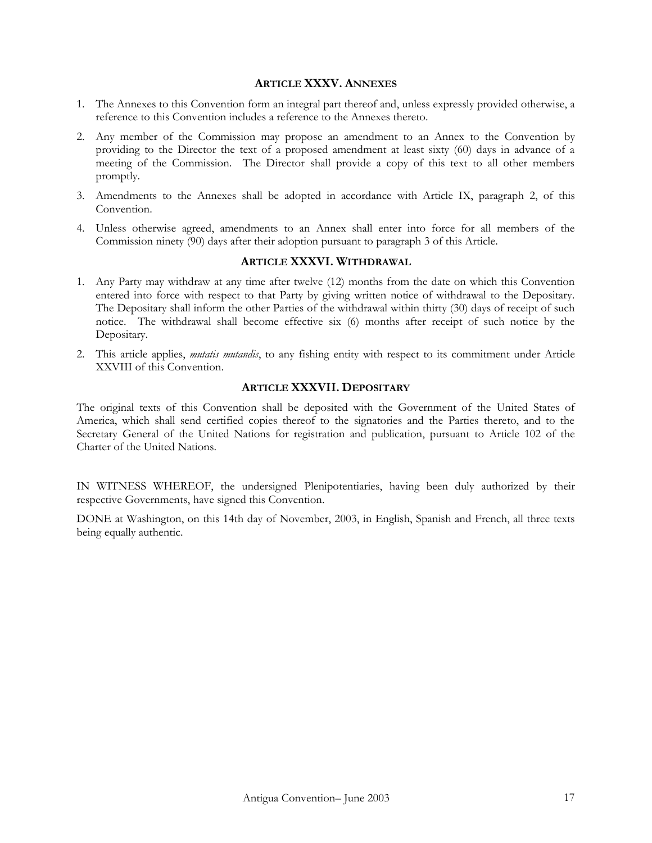### **ARTICLE XXXV. ANNEXES**

- 1. The Annexes to this Convention form an integral part thereof and, unless expressly provided otherwise, a reference to this Convention includes a reference to the Annexes thereto.
- 2. Any member of the Commission may propose an amendment to an Annex to the Convention by providing to the Director the text of a proposed amendment at least sixty (60) days in advance of a meeting of the Commission. The Director shall provide a copy of this text to all other members promptly.
- 3. Amendments to the Annexes shall be adopted in accordance with Article IX, paragraph 2, of this Convention.
- 4. Unless otherwise agreed, amendments to an Annex shall enter into force for all members of the Commission ninety (90) days after their adoption pursuant to paragraph 3 of this Article.

### **ARTICLE XXXVI. WITHDRAWAL**

- 1. Any Party may withdraw at any time after twelve (12) months from the date on which this Convention entered into force with respect to that Party by giving written notice of withdrawal to the Depositary. The Depositary shall inform the other Parties of the withdrawal within thirty (30) days of receipt of such notice. The withdrawal shall become effective six (6) months after receipt of such notice by the Depositary.
- 2. This article applies, *mutatis mutandis*, to any fishing entity with respect to its commitment under Article XXVIII of this Convention.

## **ARTICLE XXXVII. DEPOSITARY**

The original texts of this Convention shall be deposited with the Government of the United States of America, which shall send certified copies thereof to the signatories and the Parties thereto, and to the Secretary General of the United Nations for registration and publication, pursuant to Article 102 of the Charter of the United Nations.

IN WITNESS WHEREOF, the undersigned Plenipotentiaries, having been duly authorized by their respective Governments, have signed this Convention.

DONE at Washington, on this 14th day of November, 2003, in English, Spanish and French, all three texts being equally authentic.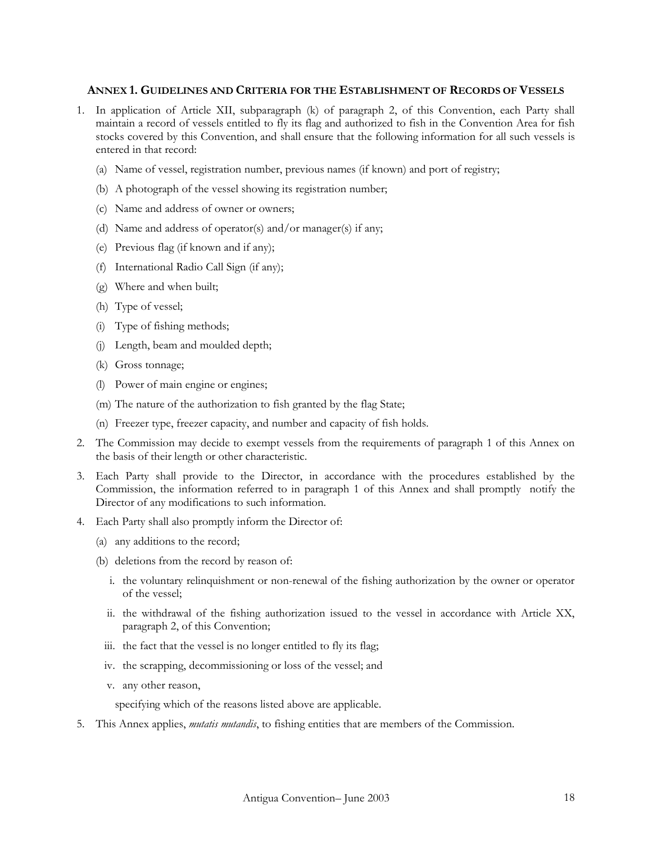### **ANNEX 1. GUIDELINES AND CRITERIA FOR THE ESTABLISHMENT OF RECORDS OF VESSELS**

- 1. In application of Article XII, subparagraph (k) of paragraph 2, of this Convention, each Party shall maintain a record of vessels entitled to fly its flag and authorized to fish in the Convention Area for fish stocks covered by this Convention, and shall ensure that the following information for all such vessels is entered in that record:
	- (a) Name of vessel, registration number, previous names (if known) and port of registry;
	- (b) A photograph of the vessel showing its registration number;
	- (c) Name and address of owner or owners;
	- (d) Name and address of operator(s) and/or manager(s) if any;
	- (e) Previous flag (if known and if any);
	- (f) International Radio Call Sign (if any);
	- (g) Where and when built;
	- (h) Type of vessel;
	- (i) Type of fishing methods;
	- (j) Length, beam and moulded depth;
	- (k) Gross tonnage;
	- (l) Power of main engine or engines;
	- (m) The nature of the authorization to fish granted by the flag State;
	- (n) Freezer type, freezer capacity, and number and capacity of fish holds.
- 2. The Commission may decide to exempt vessels from the requirements of paragraph 1 of this Annex on the basis of their length or other characteristic.
- 3. Each Party shall provide to the Director, in accordance with the procedures established by the Commission, the information referred to in paragraph 1 of this Annex and shall promptly notify the Director of any modifications to such information.
- 4. Each Party shall also promptly inform the Director of:
	- (a) any additions to the record;
	- (b) deletions from the record by reason of:
		- i. the voluntary relinquishment or non-renewal of the fishing authorization by the owner or operator of the vessel;
		- ii. the withdrawal of the fishing authorization issued to the vessel in accordance with Article XX, paragraph 2, of this Convention;
		- iii. the fact that the vessel is no longer entitled to fly its flag;
		- iv. the scrapping, decommissioning or loss of the vessel; and
		- v. any other reason,

specifying which of the reasons listed above are applicable.

5. This Annex applies, *mutatis mutandis*, to fishing entities that are members of the Commission.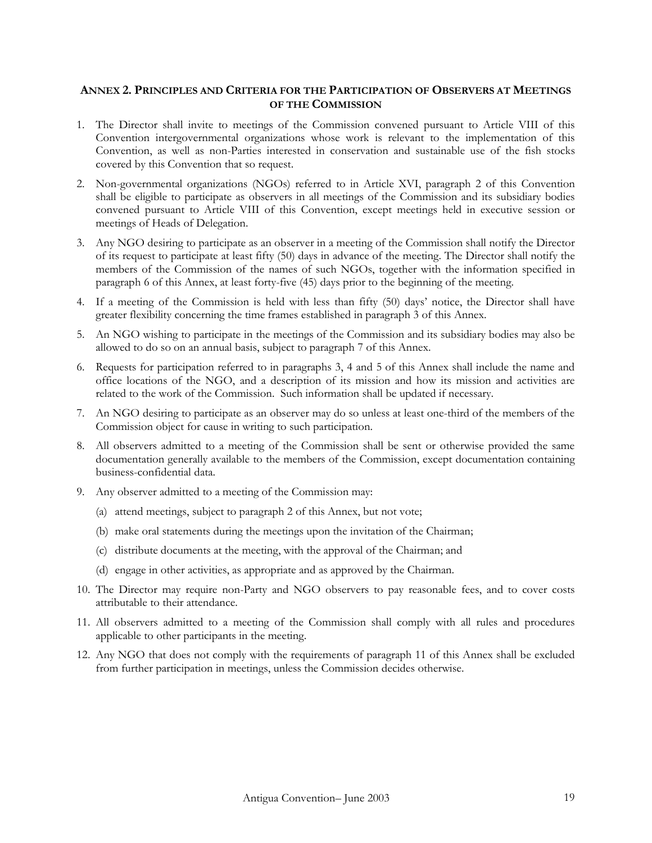## **ANNEX 2. PRINCIPLES AND CRITERIA FOR THE PARTICIPATION OF OBSERVERS AT MEETINGS OF THE COMMISSION**

- 1. The Director shall invite to meetings of the Commission convened pursuant to Article VIII of this Convention intergovernmental organizations whose work is relevant to the implementation of this Convention, as well as non-Parties interested in conservation and sustainable use of the fish stocks covered by this Convention that so request.
- 2. Non-governmental organizations (NGOs) referred to in Article XVI, paragraph 2 of this Convention shall be eligible to participate as observers in all meetings of the Commission and its subsidiary bodies convened pursuant to Article VIII of this Convention, except meetings held in executive session or meetings of Heads of Delegation.
- 3. Any NGO desiring to participate as an observer in a meeting of the Commission shall notify the Director of its request to participate at least fifty (50) days in advance of the meeting. The Director shall notify the members of the Commission of the names of such NGOs, together with the information specified in paragraph 6 of this Annex, at least forty-five (45) days prior to the beginning of the meeting.
- 4. If a meeting of the Commission is held with less than fifty (50) days' notice, the Director shall have greater flexibility concerning the time frames established in paragraph 3 of this Annex.
- 5. An NGO wishing to participate in the meetings of the Commission and its subsidiary bodies may also be allowed to do so on an annual basis, subject to paragraph 7 of this Annex.
- 6. Requests for participation referred to in paragraphs 3, 4 and 5 of this Annex shall include the name and office locations of the NGO, and a description of its mission and how its mission and activities are related to the work of the Commission. Such information shall be updated if necessary.
- 7. An NGO desiring to participate as an observer may do so unless at least one-third of the members of the Commission object for cause in writing to such participation.
- 8. All observers admitted to a meeting of the Commission shall be sent or otherwise provided the same documentation generally available to the members of the Commission, except documentation containing business-confidential data.
- 9. Any observer admitted to a meeting of the Commission may:
	- (a) attend meetings, subject to paragraph 2 of this Annex, but not vote;
	- (b) make oral statements during the meetings upon the invitation of the Chairman;
	- (c) distribute documents at the meeting, with the approval of the Chairman; and
	- (d) engage in other activities, as appropriate and as approved by the Chairman.
- 10. The Director may require non-Party and NGO observers to pay reasonable fees, and to cover costs attributable to their attendance.
- 11. All observers admitted to a meeting of the Commission shall comply with all rules and procedures applicable to other participants in the meeting.
- 12. Any NGO that does not comply with the requirements of paragraph 11 of this Annex shall be excluded from further participation in meetings, unless the Commission decides otherwise.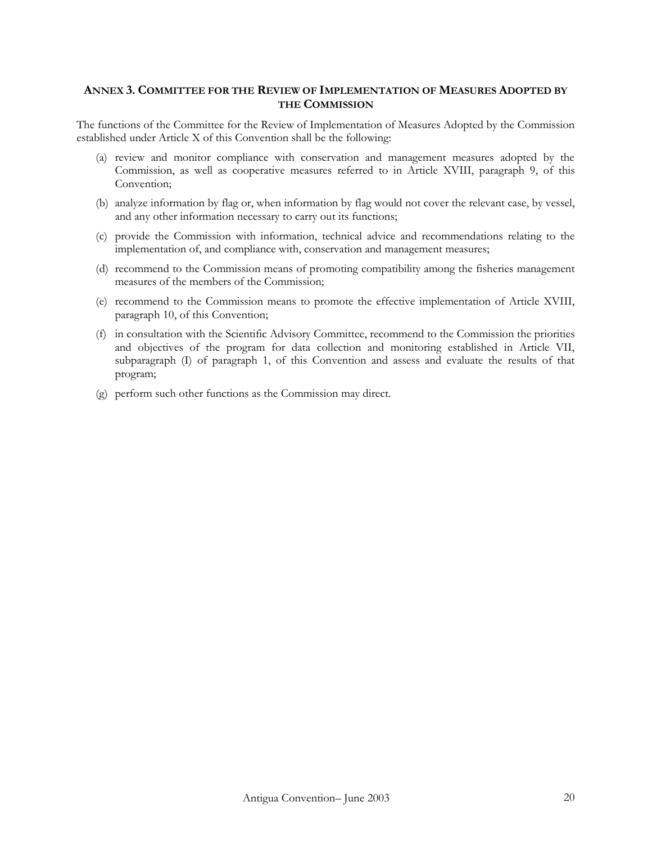## **ANNEX 3. COMMITTEE FOR THE REVIEW OF IMPLEMENTATION OF MEASURES ADOPTED BY THE COMMISSION**

The functions of the Committee for the Review of Implementation of Measures Adopted by the Commission established under Article X of this Convention shall be the following:

- (a) review and monitor compliance with conservation and management measures adopted by the Commission, as well as cooperative measures referred to in Article XVIII, paragraph 9, of this Convention;
- (b) analyze information by flag or, when information by flag would not cover the relevant case, by vessel, and any other information necessary to carry out its functions;
- (c) provide the Commission with information, technical advice and recommendations relating to the implementation of, and compliance with, conservation and management measures;
- (d) recommend to the Commission means of promoting compatibility among the fisheries management measures of the members of the Commission;
- (e) recommend to the Commission means to promote the effective implementation of Article XVIII, paragraph 10, of this Convention;
- (f) in consultation with the Scientific Advisory Committee, recommend to the Commission the priorities and objectives of the program for data collection and monitoring established in Article VII, subparagraph (I) of paragraph 1, of this Convention and assess and evaluate the results of that program;
- (g) perform such other functions as the Commission may direct.